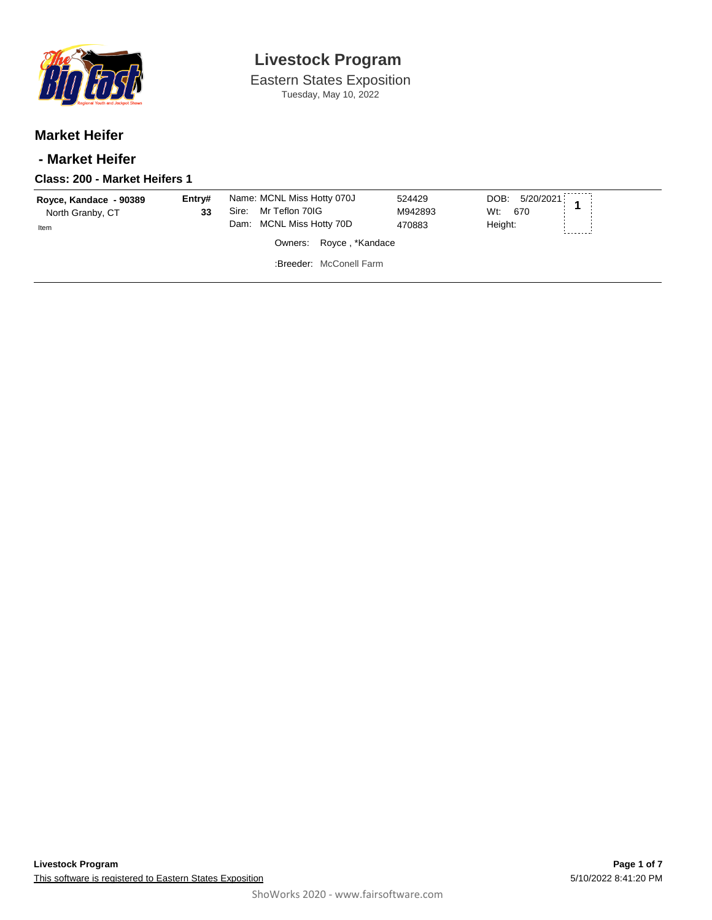

Eastern States Exposition Tuesday, May 10, 2022

### **Market Heifer**

### **- Market Heifer**

#### **Class: 200 - Market Heifers 1**

| Royce, Kandace - 90389 | Entrv# | Name: MCNL Miss Hotty 070J<br>Mr Teflon 70IG<br>Sire: | 524429<br>M942893 | DOB: 5/20/2021        |  |
|------------------------|--------|-------------------------------------------------------|-------------------|-----------------------|--|
| North Granby, CT       | 33     | Dam: MCNL Miss Hotty 70D                              | 470883            | Wt:<br>670<br>Height: |  |
| Item                   |        | Owners: Royce, *Kandace                               |                   |                       |  |
|                        |        | :Breeder: McConell Farm                               |                   |                       |  |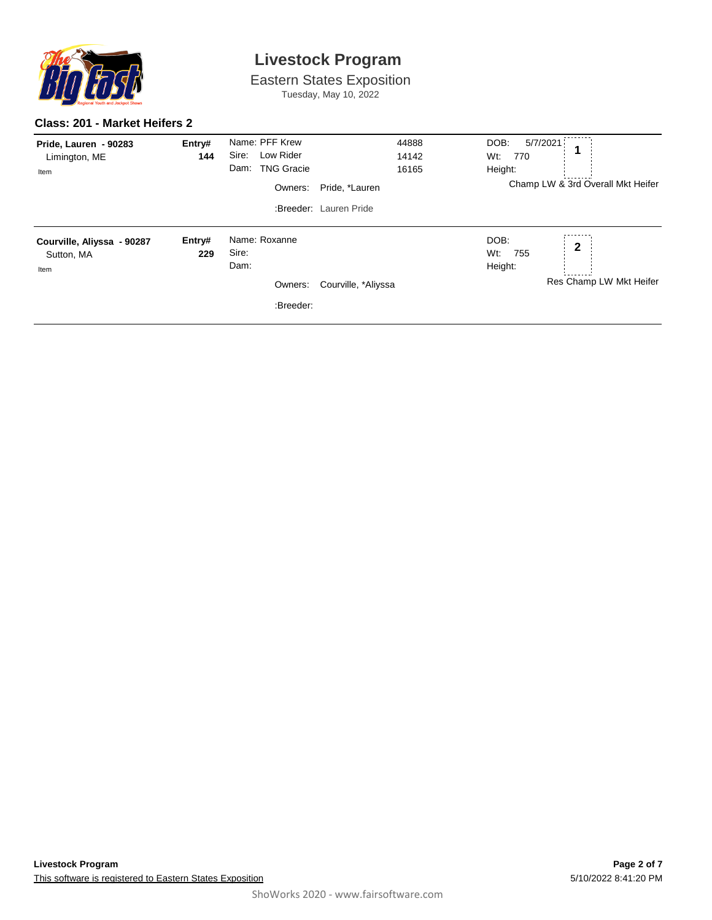

Eastern States Exposition Tuesday, May 10, 2022

#### **Class: 201 - Market Heifers 2**

| Pride, Lauren - 90283<br>Limington, ME<br>Item   | Entry#<br>144 | Name: PFF Krew<br>Sire:<br>Low Rider<br><b>TNG Gracie</b><br>Dam:<br>Owners: | 44888<br>14142<br>16165<br>Pride, *Lauren<br>:Breeder: Lauren Pride | DOB:<br>5/7/2021<br>Wt:<br>770<br>Height:<br>Champ LW & 3rd Overall Mkt Heifer |  |
|--------------------------------------------------|---------------|------------------------------------------------------------------------------|---------------------------------------------------------------------|--------------------------------------------------------------------------------|--|
| Courville, Aliyssa - 90287<br>Sutton, MA<br>Item | Entry#<br>229 | Name: Roxanne<br>Sire:<br>Dam:<br>Owners:<br>:Breeder:                       | Courville, *Aliyssa                                                 | DOB:<br>$\mathbf{2}$<br>Wt:<br>755<br>Height:<br>Res Champ LW Mkt Heifer       |  |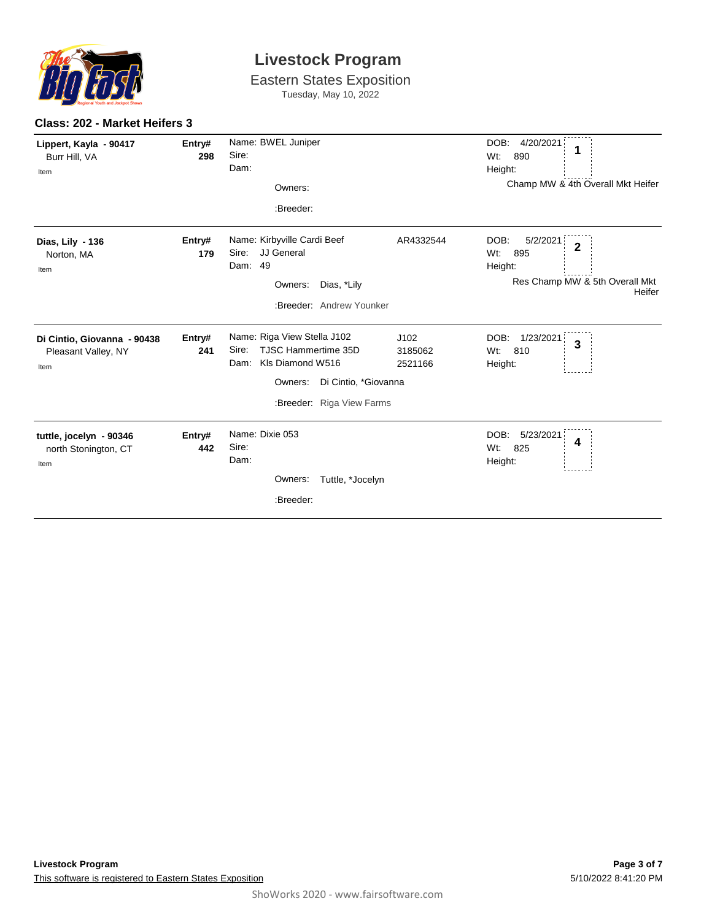

Eastern States Exposition Tuesday, May 10, 2022

| Lippert, Kayla - 90417<br>Burr Hill, VA<br>Item            | Entry#<br>298 | Name: BWEL Juniper<br>Sire:<br>Dam:<br>Owners:<br>:Breeder:                                                                                                    | DOB:<br>Wt:                               | 4/20/2021<br>890<br>Height:<br>Champ MW & 4th Overall Mkt Heifer                       |
|------------------------------------------------------------|---------------|----------------------------------------------------------------------------------------------------------------------------------------------------------------|-------------------------------------------|----------------------------------------------------------------------------------------|
| Dias, Lily - 136<br>Norton, MA<br>Item                     | Entry#<br>179 | Name: Kirbyville Cardi Beef<br>JJ General<br>Sire:<br>49<br>Dam:<br>Owners:<br>Dias, *Lily<br>:Breeder: Andrew Younker                                         | DOB:<br>AR4332544<br>$Wt$ :               | 5/2/2021<br>$\mathbf{2}$<br>895<br>Height:<br>Res Champ MW & 5th Overall Mkt<br>Heifer |
| Di Cintio, Giovanna - 90438<br>Pleasant Valley, NY<br>Item | Entry#<br>241 | Name: Riga View Stella J102<br><b>TJSC Hammertime 35D</b><br>Sire:<br>KIs Diamond W516<br>Dam:<br>Di Cintio, *Giovanna<br>Owners:<br>:Breeder: Riga View Farms | DOB:<br>J102<br>Wt:<br>3185062<br>2521166 | 1/23/2021<br>3<br>810<br>Height:                                                       |
| tuttle, jocelyn - 90346<br>north Stonington, CT<br>Item    | Entry#<br>442 | Name: Dixie 053<br>Sire:<br>Dam:<br>Tuttle, *Jocelyn<br>Owners:<br>:Breeder:                                                                                   | DOB:<br>Wt:                               | 5/23/2021<br>4<br>825<br>Height:                                                       |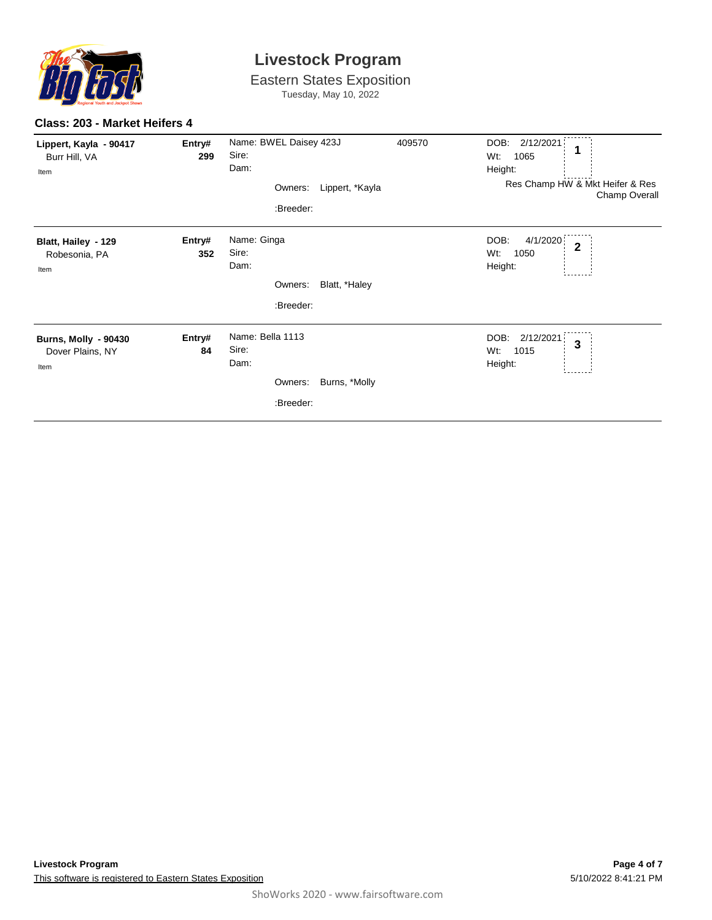

Eastern States Exposition Tuesday, May 10, 2022

#### **Class: 203 - Market Heifers 4**

| Lippert, Kayla - 90417<br>Burr Hill, VA<br>Item         | Entry#<br>299 | Name: BWEL Daisey 423J<br>Sire:<br>Dam:                    | 409570          | DOB:<br>2/12/2021<br>1<br>Wt:<br>1065<br>Height:              |
|---------------------------------------------------------|---------------|------------------------------------------------------------|-----------------|---------------------------------------------------------------|
|                                                         |               | Owners:<br>:Breeder:                                       | Lippert, *Kayla | Res Champ HW & Mkt Heifer & Res<br>Champ Overall              |
| Blatt, Hailey - 129<br>Robesonia, PA<br>Item            | Entry#<br>352 | Name: Ginga<br>Sire:<br>Dam:                               |                 | DOB:<br>4/1/2020<br>$\overline{2}$<br>1050<br>Wt:<br>Height:  |
|                                                         |               | Owners:<br>:Breeder:                                       | Blatt, *Haley   |                                                               |
| <b>Burns, Molly - 90430</b><br>Dover Plains, NY<br>Item | Entry#<br>84  | Name: Bella 1113<br>Sire:<br>Dam:<br>Owners: Burns, *Molly |                 | DOB:<br>2/12/2021<br>$\overline{3}$<br>Wt:<br>1015<br>Height: |
|                                                         |               | :Breeder:                                                  |                 |                                                               |